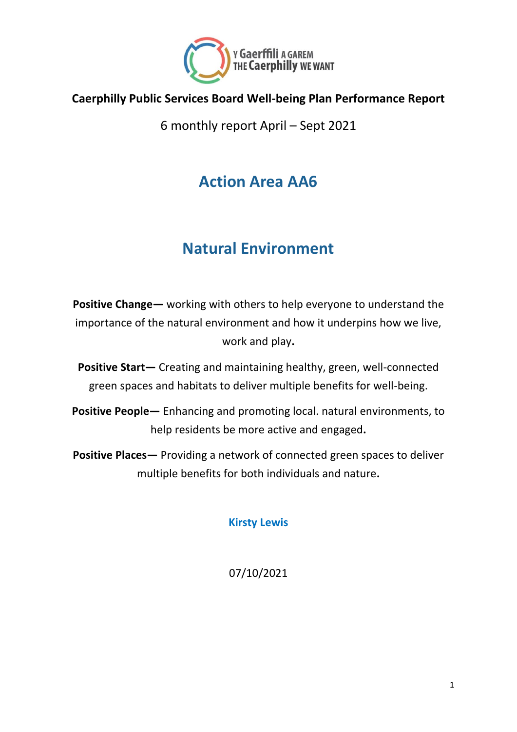

#### **Caerphilly Public Services Board Well-being Plan Performance Report**

6 monthly report April – Sept 2021

## **Action Area AA6**

# **Natural Environment**

**Positive Change—** working with others to help everyone to understand the importance of the natural environment and how it underpins how we live, work and play**.** 

**Positive Start—** Creating and maintaining healthy, green, well-connected green spaces and habitats to deliver multiple benefits for well-being.

**Positive People—** Enhancing and promoting local. natural environments, to help residents be more active and engaged**.**

**Positive Places—** Providing a network of connected green spaces to deliver multiple benefits for both individuals and nature**.**

**Kirsty Lewis**

07/10/2021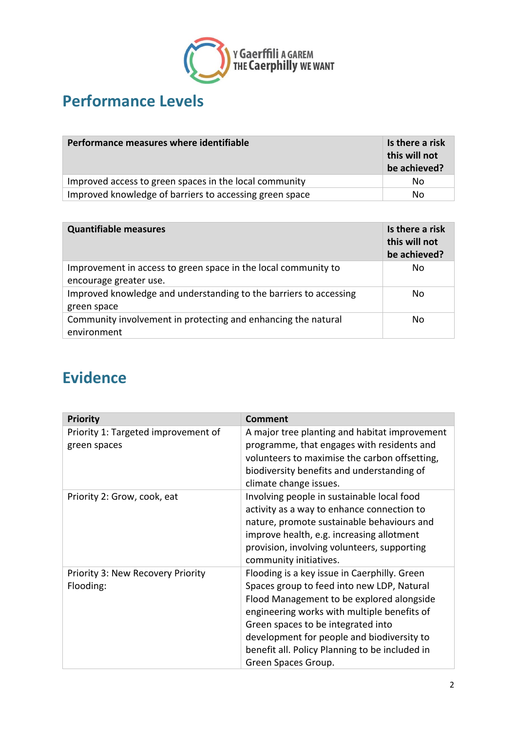

# **Performance Levels**

| Performance measures where identifiable                 | Is there a risk<br>this will not<br>be achieved? |
|---------------------------------------------------------|--------------------------------------------------|
| Improved access to green spaces in the local community  | No.                                              |
| Improved knowledge of barriers to accessing green space | No.                                              |

| <b>Quantifiable measures</b>                                      | Is there a risk<br>this will not<br>be achieved? |
|-------------------------------------------------------------------|--------------------------------------------------|
| Improvement in access to green space in the local community to    | No                                               |
| encourage greater use.                                            |                                                  |
| Improved knowledge and understanding to the barriers to accessing | No                                               |
| green space                                                       |                                                  |
| Community involvement in protecting and enhancing the natural     | No                                               |
| environment                                                       |                                                  |

## **Evidence**

| <b>Priority</b>                                     | <b>Comment</b>                                                                                                                                                                                                                                                                                                                                      |
|-----------------------------------------------------|-----------------------------------------------------------------------------------------------------------------------------------------------------------------------------------------------------------------------------------------------------------------------------------------------------------------------------------------------------|
| Priority 1: Targeted improvement of<br>green spaces | A major tree planting and habitat improvement<br>programme, that engages with residents and<br>volunteers to maximise the carbon offsetting,<br>biodiversity benefits and understanding of<br>climate change issues.                                                                                                                                |
| Priority 2: Grow, cook, eat                         | Involving people in sustainable local food<br>activity as a way to enhance connection to<br>nature, promote sustainable behaviours and<br>improve health, e.g. increasing allotment<br>provision, involving volunteers, supporting<br>community initiatives.                                                                                        |
| Priority 3: New Recovery Priority<br>Flooding:      | Flooding is a key issue in Caerphilly. Green<br>Spaces group to feed into new LDP, Natural<br>Flood Management to be explored alongside<br>engineering works with multiple benefits of<br>Green spaces to be integrated into<br>development for people and biodiversity to<br>benefit all. Policy Planning to be included in<br>Green Spaces Group. |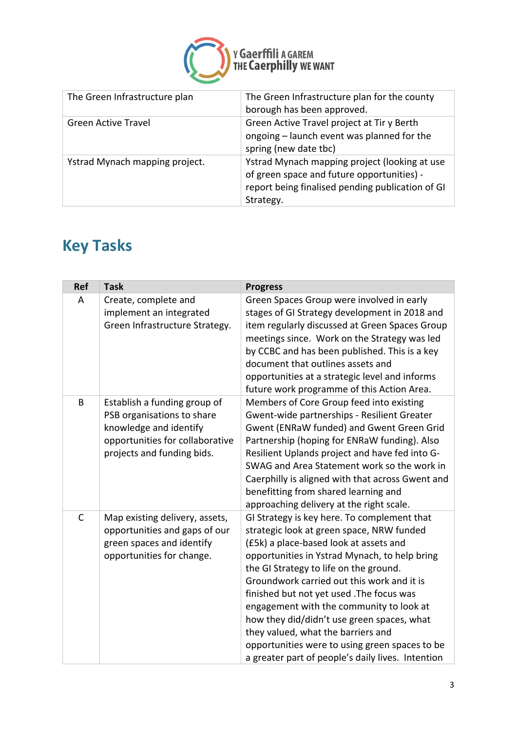

| The Green Infrastructure plan  | The Green Infrastructure plan for the county<br>borough has been approved.                                                                                   |
|--------------------------------|--------------------------------------------------------------------------------------------------------------------------------------------------------------|
| <b>Green Active Travel</b>     | Green Active Travel project at Tir y Berth<br>ongoing - launch event was planned for the<br>spring (new date tbc)                                            |
| Ystrad Mynach mapping project. | Ystrad Mynach mapping project (looking at use<br>of green space and future opportunities) -<br>report being finalised pending publication of GI<br>Strategy. |

# **Key Tasks**

| <b>Ref</b>   | <b>Task</b>                                                                                                                                           | <b>Progress</b>                                                                                                                                                                                                                                                                                                                                                                                                                                                                                                                                                 |
|--------------|-------------------------------------------------------------------------------------------------------------------------------------------------------|-----------------------------------------------------------------------------------------------------------------------------------------------------------------------------------------------------------------------------------------------------------------------------------------------------------------------------------------------------------------------------------------------------------------------------------------------------------------------------------------------------------------------------------------------------------------|
| A            | Create, complete and<br>implement an integrated<br>Green Infrastructure Strategy.                                                                     | Green Spaces Group were involved in early<br>stages of GI Strategy development in 2018 and<br>item regularly discussed at Green Spaces Group<br>meetings since. Work on the Strategy was led<br>by CCBC and has been published. This is a key<br>document that outlines assets and<br>opportunities at a strategic level and informs<br>future work programme of this Action Area.                                                                                                                                                                              |
| B            | Establish a funding group of<br>PSB organisations to share<br>knowledge and identify<br>opportunities for collaborative<br>projects and funding bids. | Members of Core Group feed into existing<br>Gwent-wide partnerships - Resilient Greater<br>Gwent (ENRaW funded) and Gwent Green Grid<br>Partnership (hoping for ENRaW funding). Also<br>Resilient Uplands project and have fed into G-<br>SWAG and Area Statement work so the work in<br>Caerphilly is aligned with that across Gwent and<br>benefitting from shared learning and<br>approaching delivery at the right scale.                                                                                                                                   |
| $\mathsf{C}$ | Map existing delivery, assets,<br>opportunities and gaps of our<br>green spaces and identify<br>opportunities for change.                             | GI Strategy is key here. To complement that<br>strategic look at green space, NRW funded<br>(£5k) a place-based look at assets and<br>opportunities in Ystrad Mynach, to help bring<br>the GI Strategy to life on the ground.<br>Groundwork carried out this work and it is<br>finished but not yet used . The focus was<br>engagement with the community to look at<br>how they did/didn't use green spaces, what<br>they valued, what the barriers and<br>opportunities were to using green spaces to be<br>a greater part of people's daily lives. Intention |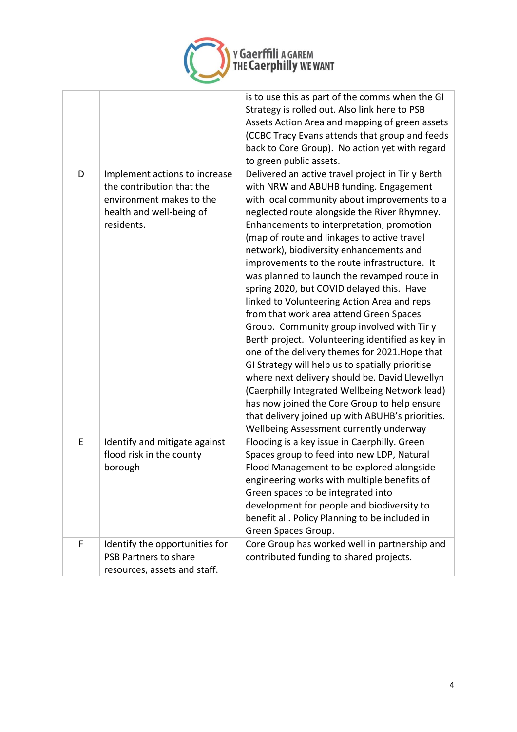

|   |                                                                                                                                  | is to use this as part of the comms when the GI<br>Strategy is rolled out. Also link here to PSB<br>Assets Action Area and mapping of green assets<br>(CCBC Tracy Evans attends that group and feeds<br>back to Core Group). No action yet with regard<br>to green public assets.                                                                                                                                                                                                                                                                                                                                                                                                                                                                                                                                                                                                                                                                                                                                                   |
|---|----------------------------------------------------------------------------------------------------------------------------------|-------------------------------------------------------------------------------------------------------------------------------------------------------------------------------------------------------------------------------------------------------------------------------------------------------------------------------------------------------------------------------------------------------------------------------------------------------------------------------------------------------------------------------------------------------------------------------------------------------------------------------------------------------------------------------------------------------------------------------------------------------------------------------------------------------------------------------------------------------------------------------------------------------------------------------------------------------------------------------------------------------------------------------------|
| D | Implement actions to increase<br>the contribution that the<br>environment makes to the<br>health and well-being of<br>residents. | Delivered an active travel project in Tir y Berth<br>with NRW and ABUHB funding. Engagement<br>with local community about improvements to a<br>neglected route alongside the River Rhymney.<br>Enhancements to interpretation, promotion<br>(map of route and linkages to active travel<br>network), biodiversity enhancements and<br>improvements to the route infrastructure. It<br>was planned to launch the revamped route in<br>spring 2020, but COVID delayed this. Have<br>linked to Volunteering Action Area and reps<br>from that work area attend Green Spaces<br>Group. Community group involved with Tir y<br>Berth project. Volunteering identified as key in<br>one of the delivery themes for 2021. Hope that<br>GI Strategy will help us to spatially prioritise<br>where next delivery should be. David Llewellyn<br>(Caerphilly Integrated Wellbeing Network lead)<br>has now joined the Core Group to help ensure<br>that delivery joined up with ABUHB's priorities.<br>Wellbeing Assessment currently underway |
| E | Identify and mitigate against<br>flood risk in the county<br>borough                                                             | Flooding is a key issue in Caerphilly. Green<br>Spaces group to feed into new LDP, Natural<br>Flood Management to be explored alongside<br>engineering works with multiple benefits of<br>Green spaces to be integrated into<br>development for people and biodiversity to<br>benefit all. Policy Planning to be included in<br>Green Spaces Group.                                                                                                                                                                                                                                                                                                                                                                                                                                                                                                                                                                                                                                                                                 |
| F | Identify the opportunities for<br>PSB Partners to share<br>resources, assets and staff.                                          | Core Group has worked well in partnership and<br>contributed funding to shared projects.                                                                                                                                                                                                                                                                                                                                                                                                                                                                                                                                                                                                                                                                                                                                                                                                                                                                                                                                            |